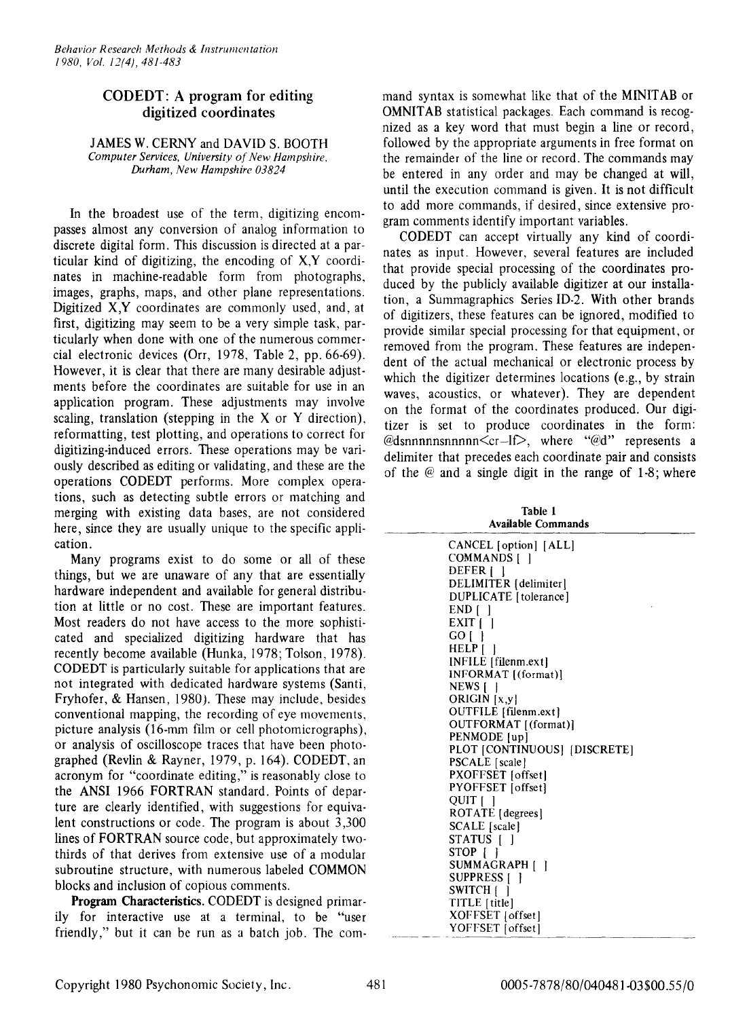## CODEDT: A program for editing digitized coordinates

lAMES W. CERNY and DAVID S. BOOTH *Computer Services, University of New Hampshire, Durham, New Hampshire 03824*

In the broadest use of the term, digitizing encompasses almost any conversion of analog information to discrete digital form. This discussion is directed at a particular kind of digitizing, the encoding of X,Y coordinates in machine-readable form from photographs, images, graphs, maps, and other plane representations. Digitized X,Y coordinates are commonly used, and, at first, digitizing may seem to be a very simple task, particularly when done with one of the numerous commercial electronic devices (Orr, 1978, Table 2, pp. 66-69). However, it is clear that there are many desirable adjustments before the coordinates are suitable for use in an application program. These adjustments may involve scaling, translation (stepping in the X or Y direction), reformatting, test plotting, and operations to correct for digitizing-induced errors. These operations may be variously described as editing or validating, and these are the operations CODEDT performs. More complex operations, such as detecting subtle errors or matching and merging with existing data bases, are not considered here, since they are usually unique to the specific application.

Many programs exist to do some or all of these things, but we are unaware of any that are essentially hardware independent and available for general distribution at little or no cost. These are important features. Most readers do not have access to the more sophisticated and specialized digitizing hardware that has recently become available (Hunka, 1978; Tolson, 1978). CODEDT is particularly suitable for applications that are not integrated with dedicated hardware systems (Santi, Fryhofer, & Hansen, 1980). These may include, besides conventional mapping, the recording of eye movements, picture analysis (16-mm film or cell photomicrographs), or analysis of oscilloscope traces that have been photographed (Revlin & Rayner, 1979, p. 164). CODEDT, an acronym for "coordinate editing," is reasonably close to the ANSI 1966 FORTRAN standard. Points of departure are clearly identified, with suggestions for equivalent constructions or code. The program is about 3,300 lines of FORTRAN source code, but approximately twothirds of that derives from extensive use of a modular subroutine structure, with numerous labeled COMMON blocks and inclusion of copious comments.

**Program** Characteristics. CODEDT is designed primarily for interactive use at a terminal, to be "user friendly," but it can be run as a batch job. The command syntax is somewhat like that of the MINITAB or OMNITAB statistical packages. Each command is recognized as a key word that must begin a line or record, followed by the appropriate arguments in free format on the remainder of the line or record. The commands may be entered in any order and may be changed at will, until the execution command is given. It is not difficult to add more commands, if desired, since extensive program comments identify important variables.

CODEDT can accept virtually any kind of coordinates as input. However, several features are included that provide special processing of the coordinates produced by the publicly available digitizer at our installation, a Summagraphics Series ID-2. With other brands of digitizers, these features can be ignored, modified to provide similar special processing for that equipment, or removed from the program. These features are independent of the actual mechanical or electronic process by which the digitizer determines locations (e.g., by strain waves, acoustics, or whatever). They are dependent on the format of the coordinates produced. Our digitizer is set to produce coordinates in the form:  $@d$ snnnnnsnnnnn $\leq$ cr $-I \geq$ , where " $@d"$  represents a delimiter that precedes each coordinate pair and consists of the @ and a single digit in the range of 1-8; where

Table 1 Available Commands

| CANCEL [option] [ALL]                      |
|--------------------------------------------|
| <b>COMMANDS</b> [<br>- 1                   |
| DEFER <sub>I</sub>                         |
| DELIMITER [delimiter]                      |
| DUPLICATE [tolerance]                      |
| END []                                     |
| EXIT []                                    |
| $GO \mid \cdot$                            |
| $HELP$ $\upharpoonright$ $\upharpoonright$ |
| INFILE [filenm.ext]                        |
| INFORMAT [(format)]                        |
| $NEWS$ [ ]                                 |
| ORIGIN [x,y]                               |
| OUTFILE [filenm.ext]                       |
| OUTFORMAT [(format)]                       |
| PENMODE [up]                               |
| PLOT [CONTINUOUS] [DISCRETE]               |
| PSCALE [scale]                             |
| PXOFFSET [offset]                          |
| PYOFFSET [offset]                          |
| QUIT [ ]                                   |
| ROTATE [degrees]                           |
| SCALE [scale]                              |
| STATUS                                     |
| STOP                                       |
| SUMMAGRAPH []                              |
| SUPPRESS   1                               |
| SWITCH []                                  |
| TITLE [title]                              |
| XOFFSET [offset]                           |
| YOFFSET [offset]                           |
|                                            |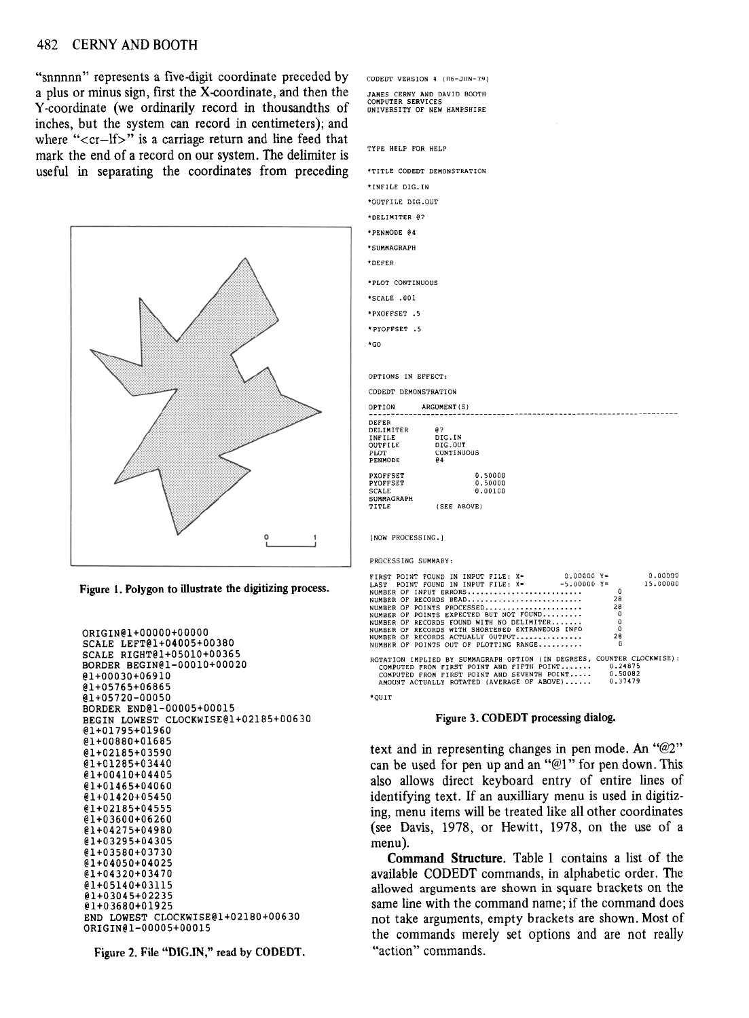## 482 CERNY AND BOOTH

"snnnnn" represents a five-digit coordinate preceded by a plus or minus sign, first the X-coordinate, and then the Y-coordinate (we ordinarily record in thousandths of inches, but the system can record in centimeters); and where " $\langle cr - If \rangle$ " is a carriage return and line feed that mark the end of a record on our system. The delimiter is useful in separating the coordinates from preceding





```
ORIGIN@l+OOOOO+OOOOO
SCALE LEFT@1+04005+00380
   ALE RIGHT@1+05010+00365<br>RDER BEGIN@1-00010+00020<br>100030106010
   @l+00030+06910
@l+05765+06865
@l+05720-00050<br>BORDER END@l-00005+00015
   BORD END@1-00003+00015<br>BORDER END@1-00003+00015
    BEGIN LOWEST CLOCKWISE@1+02185+00630
    @1+01795+01960
@l+00880+01685
@l+02185+03590
    @1+01285+03440
@l+00410+04405
@l+01465+04060
@1+02185+04555
@1+03600+06260
    @l+03600+06260
@l+04275+04980
@1+03295+04305
@l+03580+03730
    @l+04050+04025
@l+04320+03470
@1+05140+03115
@l+03045+02235
    TUJOOUTUIJZJ<br>D. Towerm etoev
    END LOWEST CLOCKWISE@1+02180+00630<br>In Lowest Clockwise@1+02180+00630
ORIGIN@1-00005+00015
```
Figure 2. File "DlG.IN," read by CODEDT.

| CODEDT VERSION 4 (06-JUN-79)                                                    |                                                                                                                                                                                                                                                                                                                                                                                                                                                                                                                |  |  |  |
|---------------------------------------------------------------------------------|----------------------------------------------------------------------------------------------------------------------------------------------------------------------------------------------------------------------------------------------------------------------------------------------------------------------------------------------------------------------------------------------------------------------------------------------------------------------------------------------------------------|--|--|--|
| JAMES CERNY AND DAVID BOOTH<br>COMPUTER SERVICES<br>UNIVERSITY OF NEW HAMPSHIRE |                                                                                                                                                                                                                                                                                                                                                                                                                                                                                                                |  |  |  |
|                                                                                 |                                                                                                                                                                                                                                                                                                                                                                                                                                                                                                                |  |  |  |
|                                                                                 |                                                                                                                                                                                                                                                                                                                                                                                                                                                                                                                |  |  |  |
| TYPE HELP FOR HELP                                                              |                                                                                                                                                                                                                                                                                                                                                                                                                                                                                                                |  |  |  |
| *TITLE CODEDT DEMONSTRATION                                                     |                                                                                                                                                                                                                                                                                                                                                                                                                                                                                                                |  |  |  |
| *INFILE DIG.IN                                                                  |                                                                                                                                                                                                                                                                                                                                                                                                                                                                                                                |  |  |  |
| *OUTFILE DIG.OUT                                                                |                                                                                                                                                                                                                                                                                                                                                                                                                                                                                                                |  |  |  |
| *DELIMITER @?                                                                   |                                                                                                                                                                                                                                                                                                                                                                                                                                                                                                                |  |  |  |
| *PENMODE @4                                                                     |                                                                                                                                                                                                                                                                                                                                                                                                                                                                                                                |  |  |  |
| *SUMMAGRAPH                                                                     |                                                                                                                                                                                                                                                                                                                                                                                                                                                                                                                |  |  |  |
| *DEFER                                                                          |                                                                                                                                                                                                                                                                                                                                                                                                                                                                                                                |  |  |  |
| *PLOT CONTINUOUS                                                                |                                                                                                                                                                                                                                                                                                                                                                                                                                                                                                                |  |  |  |
| *SCALE .001                                                                     |                                                                                                                                                                                                                                                                                                                                                                                                                                                                                                                |  |  |  |
| *PXOFFSET .5                                                                    |                                                                                                                                                                                                                                                                                                                                                                                                                                                                                                                |  |  |  |
| *PYOFFSET .5                                                                    |                                                                                                                                                                                                                                                                                                                                                                                                                                                                                                                |  |  |  |
| *GO                                                                             |                                                                                                                                                                                                                                                                                                                                                                                                                                                                                                                |  |  |  |
|                                                                                 |                                                                                                                                                                                                                                                                                                                                                                                                                                                                                                                |  |  |  |
| OPTION<br>DEFER<br>DELIMITER<br>INFILE<br>OUTFILE<br>PLOT<br>PENMODE            | ARGUMENT(S)<br>aэ<br>DIG.IN<br>DIG.OUT<br>CONTINUOUS<br>94                                                                                                                                                                                                                                                                                                                                                                                                                                                     |  |  |  |
| PXOFFSET<br>PYOFFSET                                                            | 0.50000<br>0.50000                                                                                                                                                                                                                                                                                                                                                                                                                                                                                             |  |  |  |
| SCALE<br>SUMMAGRAPH                                                             | 0.00100                                                                                                                                                                                                                                                                                                                                                                                                                                                                                                        |  |  |  |
| TITLE                                                                           | (SEE ABOVE)                                                                                                                                                                                                                                                                                                                                                                                                                                                                                                    |  |  |  |
| INOW PROCESSING.1                                                               |                                                                                                                                                                                                                                                                                                                                                                                                                                                                                                                |  |  |  |
| PROCESSING SUMMARY:                                                             |                                                                                                                                                                                                                                                                                                                                                                                                                                                                                                                |  |  |  |
|                                                                                 | $0.00000Y =$<br>0.00000<br>FIRST POINT FOUND IN INPUT FILE: X=<br>LAST POINT FOUND IN INPUT FILE: X=<br>$-5.00000Y =$<br>15.00000<br>$\Omega$<br>NUMBER OF INPUT ERRORS<br>NUMBER OF RECORDS READ<br>28<br>28<br>NUMBER OF POINTS PROCESSED<br>NUMBER OF POINTS EXPECTED BUT NOT FOUND<br>$\Omega$<br>NUMBER OF RECORDS FOUND WITH NO DELIMITER<br>NUMBER OF RECORDS WITH SHORTENED EXTRANEOUS INFO<br>0<br>$\Omega$<br>NUMBER OF RECORDS ACTUALLY OUTPUT<br>28<br>NUMBER OF POINTS OUT OF PLOTTING RANGE<br>ß |  |  |  |
|                                                                                 | 0.37479<br>AMOUNT ACTUALLY ROTATED (AVERAGE OF ABOVE)                                                                                                                                                                                                                                                                                                                                                                                                                                                          |  |  |  |



## Figure 3. CODEDT processing dialog.

text and in representing changes in pen mode. An "@2" can be used for pen up and an "@I" for pen down. This also allows direct keyboard entry of entire lines of identifying text. If an auxilliary menu is used in digitizing, menu items will be treated like all other coordinates (see Davis, 1978, or Hewitt, 1978, on the use of a

**Command Structure.** Table 1 contains a list of the Command Structure. Table 1 contains a list of the anavic CODEDT commands, in alphabetic order. The allowed arguments are shown in square brackets on the same line with the command name; if the command does not take arguments, empty brackets are shown. Most of the commands merely set options and are not really "action" commands.